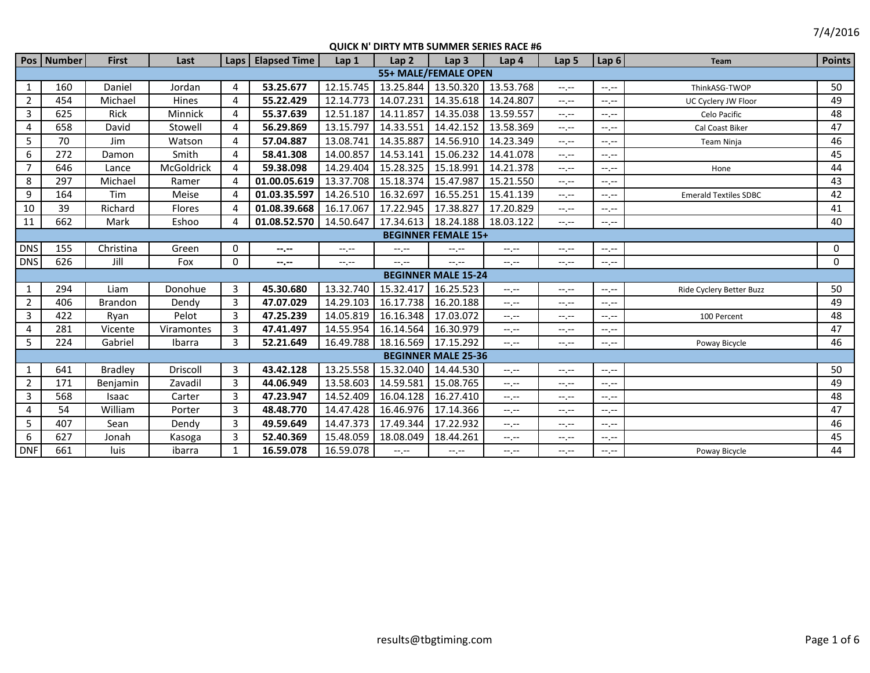7/4/2016

|                            | Pos   Number         | <b>First</b>   | Last         |                | Laps   Elapsed Time | Lap <sub>1</sub> | Lap <sub>2</sub> | Lap <sub>3</sub>           | Lap <sub>4</sub> | Lap <sub>5</sub> | Lap 6            | Team                         | <b>Points</b> |
|----------------------------|----------------------|----------------|--------------|----------------|---------------------|------------------|------------------|----------------------------|------------------|------------------|------------------|------------------------------|---------------|
|                            | 55+ MALE/FEMALE OPEN |                |              |                |                     |                  |                  |                            |                  |                  |                  |                              |               |
| 1                          | 160                  | Daniel         | Jordan       | 4              | 53.25.677           | 12.15.745        | 13.25.844        | 13.50.320                  | 13.53.768        | $-1, -1$         | $-1 - 1 - 1 = 0$ | ThinkASG-TWOP                | 50            |
| $\overline{2}$             | 454                  | Michael        | <b>Hines</b> | 4              | 55.22.429           | 12.14.773        | 14.07.231        | 14.35.618                  | 14.24.807        | $-1, -1$         | $-1, -1$         | UC Cyclery JW Floor          | 49            |
| 3                          | 625                  | Rick           | Minnick      | 4              | 55.37.639           | 12.51.187        | 14.11.857        | 14.35.038                  | 13.59.557        | $-1$ , $-1$      | $-1, -1$         | Celo Pacific                 | 48            |
| 4                          | 658                  | David          | Stowell      | 4              | 56.29.869           | 13.15.797        | 14.33.551        | 14.42.152                  | 13.58.369        | $-1, -1$         | $-1, -1$         | Cal Coast Biker              | 47            |
| 5                          | 70                   | Jim            | Watson       | 4              | 57.04.887           | 13.08.741        | 14.35.887        | 14.56.910                  | 14.23.349        | $-1 - 1 - 1 = 0$ | $-1.1 -$         | <b>Team Ninja</b>            | 46            |
| 6                          | 272                  | Damon          | Smith        | 4              | 58.41.308           | 14.00.857        | 14.53.141        | 15.06.232                  | 14.41.078        | $-1, -1$         | $-1, -1$         |                              | 45            |
| $\overline{7}$             | 646                  | Lance          | McGoldrick   | 4              | 59.38.098           | 14.29.404        | 15.28.325        | 15.18.991                  | 14.21.378        | $-1, -1$         | $-1, -1$         | Hone                         | 44            |
| 8                          | 297                  | Michael        | Ramer        | $\overline{4}$ | 01.00.05.619        | 13.37.708        | 15.18.374        | 15.47.987                  | 15.21.550        | $-1, -1$         | $-1.1$           |                              | 43            |
| 9                          | 164                  | Tim            | Meise        | 4              | 01.03.35.597        | 14.26.510        | 16.32.697        | 16.55.251                  | 15.41.139        | $-1 - 1 - 1 = 0$ | $-1$ , $-1$      | <b>Emerald Textiles SDBC</b> | 42            |
| 10                         | 39                   | Richard        | Flores       | $\overline{4}$ | 01.08.39.668        | 16.17.067        | 17.22.945        | 17.38.827                  | 17.20.829        | $-1, -1$         | $- - - - -$      |                              | 41            |
| 11                         | 662                  | Mark           | Eshoo        | $\overline{a}$ | 01.08.52.570        | 14.50.647        | 17.34.613        | 18.24.188                  | 18.03.122        | $-1, -1$         | $-1 - 1 - 1 = 0$ |                              | 40            |
| <b>BEGINNER FEMALE 15+</b> |                      |                |              |                |                     |                  |                  |                            |                  |                  |                  |                              |               |
| <b>DNS</b>                 | 155                  | Christina      | Green        | 0              | --.--               | $-1, -1$         | $-1 - 1 - 1 = 0$ | --.--                      | $-1 - 1 - 1 = 0$ | $-1, -1$         | $-1.1 -$         |                              | 0             |
| <b>DNS</b>                 | 626                  | Jill           | Fox          | $\mathbf 0$    | $-1 - 1 - 1 = 0$    | $-1 - 1 - 1 = 0$ | $-1 - 1 - 1 = 0$ | $-1$ , $-1$                | $-1 - 1 - 1 = 0$ | $-1 - 1 - 1 = 0$ | $-1.1 -$         |                              | 0             |
|                            |                      |                |              |                |                     |                  |                  | <b>BEGINNER MALE 15-24</b> |                  |                  |                  |                              |               |
| $\mathbf{1}$               | 294                  | Liam           | Donohue      | 3              | 45.30.680           | 13.32.740        | 15.32.417        | 16.25.523                  | $-1$ , $-1$      | $-1 - 1 - 1 = 0$ | $-1 - 1 - 1 = 0$ | Ride Cyclery Better Buzz     | 50            |
| $\overline{2}$             | 406                  | <b>Brandon</b> | Dendy        | 3              | 47.07.029           | 14.29.103        | 16.17.738        | 16.20.188                  | $-1$ , $-1$      | $-1, -1$         | $-1 - 1 - 1 = 0$ |                              | 49            |
| $\overline{3}$             | 422                  | Ryan           | Pelot        | 3              | 47.25.239           | 14.05.819        | 16.16.348        | 17.03.072                  | $-1$ , $-1$      | $-1, -1$         | $-1 - 1 - 1 = 0$ | 100 Percent                  | 48            |
| 4                          | 281                  | Vicente        | Viramontes   | 3              | 47.41.497           | 14.55.954        | 16.14.564        | 16.30.979                  | $-1, -1$         | $-1, -1$         | $-1, -1$         |                              | 47            |
| 5                          | 224                  | Gabriel        | Ibarra       | 3              | 52.21.649           | 16.49.788        | 18.16.569        | 17.15.292                  | $-1$ , $-1$      | $-1, -1$         | $-1, -1$         | Poway Bicycle                | 46            |
|                            |                      |                |              |                |                     |                  |                  | <b>BEGINNER MALE 25-36</b> |                  |                  |                  |                              |               |
| 1                          | 641                  | <b>Bradley</b> | Driscoll     | 3              | 43.42.128           | 13.25.558        | 15.32.040        | 14.44.530                  | $-1$ , $-1$      | $-1 - 1 - 1 = 0$ | $-1 - 1 - 1 = 0$ |                              | 50            |
| $\overline{2}$             | 171                  | Benjamin       | Zavadil      | 3              | 44.06.949           | 13.58.603        | 14.59.581        | 15.08.765                  | $-1, -1$         | $-1 - 1 - 1 = 0$ | $-1.1 -$         |                              | 49            |
| 3                          | 568                  | Isaac          | Carter       | 3              | 47.23.947           | 14.52.409        | 16.04.128        | 16.27.410                  | $-1$ , $-1$      | $-1, -1$         | $-1.1$           |                              | 48            |
| 4                          | 54                   | William        | Porter       | $\overline{3}$ | 48.48.770           | 14.47.428        | 16.46.976        | 17.14.366                  | $-1, -1$         | $-1, -1$         | $--, --$         |                              | 47            |
| 5                          | 407                  | Sean           | Dendy        | $\overline{3}$ | 49.59.649           | 14.47.373        | 17.49.344        | 17.22.932                  | $--, --$         | $-1 - 1 - 1 = 0$ | $-1. -1$         |                              | 46            |
| 6                          | 627                  | Jonah          | Kasoga       | 3              | 52.40.369           | 15.48.059        | 18.08.049        | 18.44.261                  | $-1, -1$         | $-1 - 1 - 1 = 0$ | $-1 - 1 - 1 = 0$ |                              | 45            |
| <b>DNF</b>                 | 661                  | <b>luis</b>    | ibarra       | 1              | 16.59.078           | 16.59.078        | $-1 - 1 - 1 = 0$ | $-1$                       | $--, --$         | $-1, -1$         | $-1 - 1 - 1 = 0$ | Poway Bicycle                | 44            |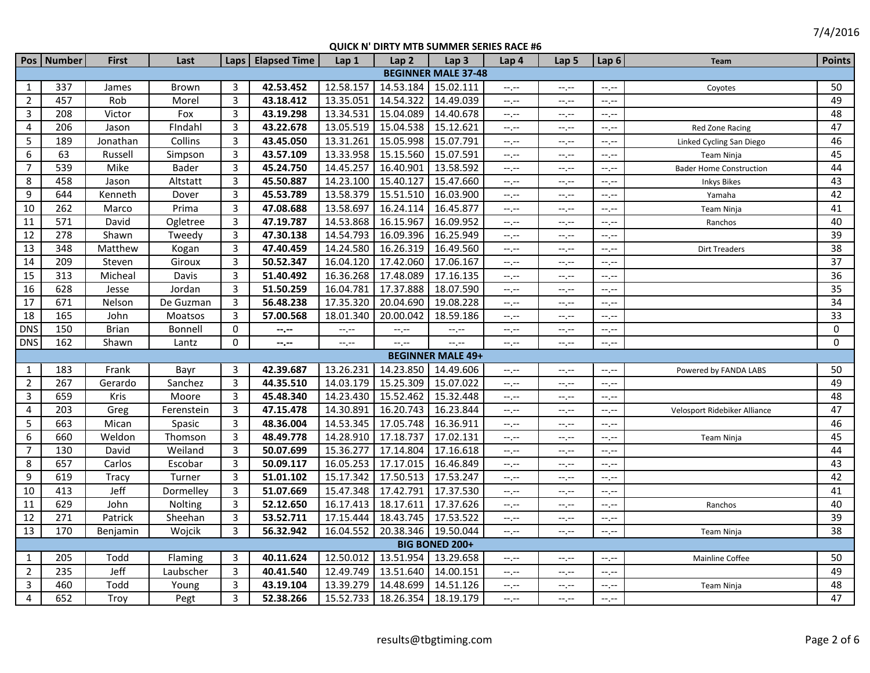|                         | Pos   Number | <b>First</b> | Last       |              | Laps   Elapsed Time | Lap <sub>1</sub> | Lap <sub>2</sub>    | QOICK IT DIKTT INTID SONINIER SERIES INTEL<br>Lap <sub>3</sub> | Lap <sub>4</sub> | Lap 5            | Lap $6$          | Team                           | <b>Points</b>   |
|-------------------------|--------------|--------------|------------|--------------|---------------------|------------------|---------------------|----------------------------------------------------------------|------------------|------------------|------------------|--------------------------------|-----------------|
|                         |              |              |            |              |                     |                  |                     | <b>BEGINNER MALE 37-48</b>                                     |                  |                  |                  |                                |                 |
| 1                       | 337          | James        | Brown      | 3            | 42.53.452           | 12.58.157        | 14.53.184           | 15.02.111                                                      | $-1, -1$         | $-1, -1$         | --.--            | Coyotes                        | 50              |
| $\overline{2}$          | 457          | Rob          | Morel      | 3            | 43.18.412           | 13.35.051        | 14.54.322           | 14.49.039                                                      | $-1$ .           | $-1, -1$         | $-1 - 1 - 1 = 0$ |                                | 49              |
| 3                       | 208          | Victor       | Fox        | 3            | 43.19.298           | 13.34.531        | 15.04.089           | 14.40.678                                                      | $-1$ , $-1$      | $-1, -1$         | $--, --$         |                                | 48              |
| $\overline{4}$          | 206          | Jason        | Findahl    | 3            | 43.22.678           | 13.05.519        | 15.04.538           | 15.12.621                                                      | $-1$ , $-1$      | $-1, -1$         | $-1, -1$         | Red Zone Racing                | 47              |
| 5                       | 189          | Jonathan     | Collins    | 3            | 43.45.050           | 13.31.261        | 15.05.998           | 15.07.791                                                      | $-1, -1$         | $-1, -1$         | $-1, -1$         | Linked Cycling San Diego       | 46              |
| 6                       | 63           | Russell      | Simpson    | 3            | 43.57.109           | 13.33.958        | 15.15.560           | 15.07.591                                                      | $-1, -1$         | $-1, -1$         | $-1, -1$         | <b>Team Ninja</b>              | 45              |
| $\overline{7}$          | 539          | Mike         | Bader      | 3            | 45.24.750           | 14.45.257        | 16.40.901           | 13.58.592                                                      | $-1, -1$         | $-1, -1$         | $-1 - 1 - 1 = 0$ | <b>Bader Home Construction</b> | 44              |
| 8                       | 458          | Jason        | Altstatt   | $\mathbf{3}$ | 45.50.887           | 14.23.100        | 15.40.127           | 15.47.660                                                      | --.--            | $-1, -1$         | $-1 - 1 - 1 = 0$ | <b>Inkys Bikes</b>             | 43              |
| 9                       | 644          | Kenneth      | Dover      | 3            | 45.53.789           | 13.58.379        | 15.51.510           | 16.03.900                                                      | $-1, -1$         | $-1 - 1 - 1 = 0$ | $-1$ , $-1$      | Yamaha                         | 42              |
| 10                      | 262          | Marco        | Prima      | 3            | 47.08.688           | 13.58.697        | 16.24.114           | 16.45.877                                                      | $-1$ , $-1$      | $-1, -1$         | $-1 - 1 - 1 = 0$ | <b>Team Ninja</b>              | 41              |
| 11                      | 571          | David        | Ogletree   | 3            | 47.19.787           | 14.53.868        | 16.15.967           | 16.09.952                                                      | $-1, -1$         | $-1, -1$         | $-1$ , $-1$      | Ranchos                        | 40              |
| 12                      | 278          | Shawn        | Tweedy     | 3            | 47.30.138           | 14.54.793        | 16.09.396           | 16.25.949                                                      | $-1$ , $-1$      | $-1, -1$         | $-1 - 1 - 1 = 0$ |                                | 39              |
| 13                      | 348          | Matthew      | Kogan      | 3            | 47.40.459           | 14.24.580        | 16.26.319           | 16.49.560                                                      | $-1 - 1 - 1 = 0$ | $-1, -1$         | --.--            | <b>Dirt Treaders</b>           | 38              |
| 14                      | 209          | Steven       | Giroux     | 3            | 50.52.347           | 16.04.120        | 17.42.060           | 17.06.167                                                      | $-1, -1$         | $-1, -1$         | $-1 - 1 - 1 = 0$ |                                | 37              |
| 15                      | 313          | Micheal      | Davis      | 3            | 51.40.492           | 16.36.268        | 17.48.089           | 17.16.135                                                      | $-1, -1$         | $-1, -1$         | $--, --$         |                                | $\overline{36}$ |
| 16                      | 628          | Jesse        | Jordan     | 3            | 51.50.259           | 16.04.781        | 17.37.888           | 18.07.590                                                      | $-1, -1$         | $-1, -1$         | $-1, -1$         |                                | 35              |
| 17                      | 671          | Nelson       | De Guzman  | 3            | 56.48.238           | 17.35.320        | 20.04.690           | 19.08.228                                                      | $-1, -1$         | $-1 - 1 - 1 = 0$ | $-1 - 1 - 1 = 0$ |                                | 34              |
| 18                      | 165          | John         | Moatsos    | 3            | 57.00.568           | 18.01.340        | 20.00.042           | 18.59.186                                                      | --.--            | $-1, -1$         | $-1, -1$         |                                | 33              |
| <b>DNS</b>              | 150          | Brian        | Bonnell    | 0            | $-2 - 1 - 1 = 0$    | $-1$ , $-1$      | $-1$                | $--, --$                                                       | --,--            | $-1, -1$         | $-1$ , $-1$      |                                | 0               |
| <b>DNS</b>              | 162          | Shawn        | Lantz      | 0            | $-1, -1$            | $--, --$         | $-1, -1$            | $-1, -1$                                                       | $-1, -1$         | $-1, -1$         | $-1$ , $-1$      |                                | $\mathbf 0$     |
|                         |              |              |            |              |                     |                  |                     | <b>BEGINNER MALE 49+</b>                                       |                  |                  |                  |                                |                 |
| 1                       | 183          | Frank        | Bayr       | 3            | 42.39.687           | 13.26.231        | 14.23.850 14.49.606 |                                                                | $-1, -1$         | $-1, -1$         | $-1 - 1 - 1 = 0$ | Powered by FANDA LABS          | 50              |
| $\overline{2}$          | 267          | Gerardo      | Sanchez    | 3            | 44.35.510           | 14.03.179        | 15.25.309           | 15.07.022                                                      | $-1, -1$         | $-1, -1$         | $-1 - 1 - 1 = 0$ |                                | 49              |
| 3                       | 659          | Kris         | Moore      | 3            | 45.48.340           | 14.23.430        | 15.52.462           | 15.32.448                                                      | $-1$ , $-1$      | $-1, -1$         | $-1$ , $-1$      |                                | 48              |
| $\overline{4}$          | 203          | Greg         | Ferenstein | 3            | 47.15.478           | 14.30.891        | 16.20.743           | 16.23.844                                                      | $-1$ , $-1$      | $-1, -1$         | $-1 - 1 - 1 = 0$ | Velosport Ridebiker Alliance   | 47              |
| 5                       | 663          | Mican        | Spasic     | 3            | 48.36.004           | 14.53.345        | 17.05.748           | 16.36.911                                                      | $-1$             | $-1, -1$         | $-1 - 1 - 1 = 0$ |                                | 46              |
| 6                       | 660          | Weldon       | Thomson    | 3            | 48.49.778           | 14.28.910        | 17.18.737           | 17.02.131                                                      | $-1, -1$         | $-1, -1$         | $-1 - 1 - 1 = 0$ | <b>Team Ninja</b>              | $\overline{45}$ |
| $\overline{7}$          | 130          | David        | Weiland    | 3            | 50.07.699           | 15.36.277        | 17.14.804           | 17.16.618                                                      | $-1, -1$         | $-1, -1$         | $-1, -1$         |                                | 44              |
| 8                       | 657          | Carlos       | Escobar    | 3            | 50.09.117           | 16.05.253        | 17.17.015           | 16.46.849                                                      | $-1, -1$         | $-1, -1$         | $-1$ , $-1$      |                                | 43              |
| 9                       | 619          | Tracy        | Turner     | 3            | 51.01.102           | 15.17.342        | 17.50.513           | 17.53.247                                                      | $-1, -1$         | $-1, -1$         | $--, --$         |                                | 42              |
| 10                      | 413          | Jeff         | Dormelley  | 3            | 51.07.669           | 15.47.348        | 17.42.791           | 17.37.530                                                      | $-1, -1$         | $-1, -1$         | $-1 - 1 - 1 = 0$ |                                | 41              |
| 11                      | 629          | John         | Nolting    | 3            | 52.12.650           | 16.17.413        | 18.17.611           | 17.37.626                                                      | $-1, -1$         | $-1 - 1 - 1 = 0$ | --.--            | Ranchos                        | 40              |
| 12                      | 271          | Patrick      | Sheehan    | 3            | 53.52.711           | 17.15.444        | 18.43.745           | 17.53.522                                                      | $-1 - 1 - 1 = 0$ | $-1, -1$         | $-1, -1$         |                                | 39              |
| 13                      | 170          | Benjamin     | Wojcik     | 3            | 56.32.942           | 16.04.552        | 20.38.346 19.50.044 |                                                                | $-1$ , $-1$      | $-1 - 1 - 1 = 0$ | $-1 - 1 - 1 = 0$ | <b>Team Ninja</b>              | 38              |
|                         |              |              |            |              |                     |                  |                     | <b>BIG BONED 200+</b>                                          |                  |                  |                  |                                |                 |
| 1                       | 205          | Todd         | Flaming    | 3            | 40.11.624           | 12.50.012        | 13.51.954           | 13.29.658                                                      | $-1, -1$         | $-1, -1$         | $-1, -1$         | Mainline Coffee                | 50              |
| $\overline{2}$          | 235          | Jeff         | Laubscher  | 3            | 40.41.540           | 12.49.749        | 13.51.640           | 14.00.151                                                      | $-1, -1$         | $-1, -1$         | $-1, -1$         |                                | 49              |
| $\overline{\mathbf{3}}$ | 460          | Todd         | Young      | 3            | 43.19.104           | 13.39.279        | 14.48.699           | 14.51.126                                                      | $-1$ .           | $-1$             | $-1 - 1 - 1 = 0$ | Team Ninja                     | 48              |
| 4                       | 652          | Troy         | Pegt       | 3            | 52.38.266           | 15.52.733        | 18.26.354 18.19.179 |                                                                | $-1$ , $-1$      | $-1, -1$         | $-1, -1$         |                                | 47              |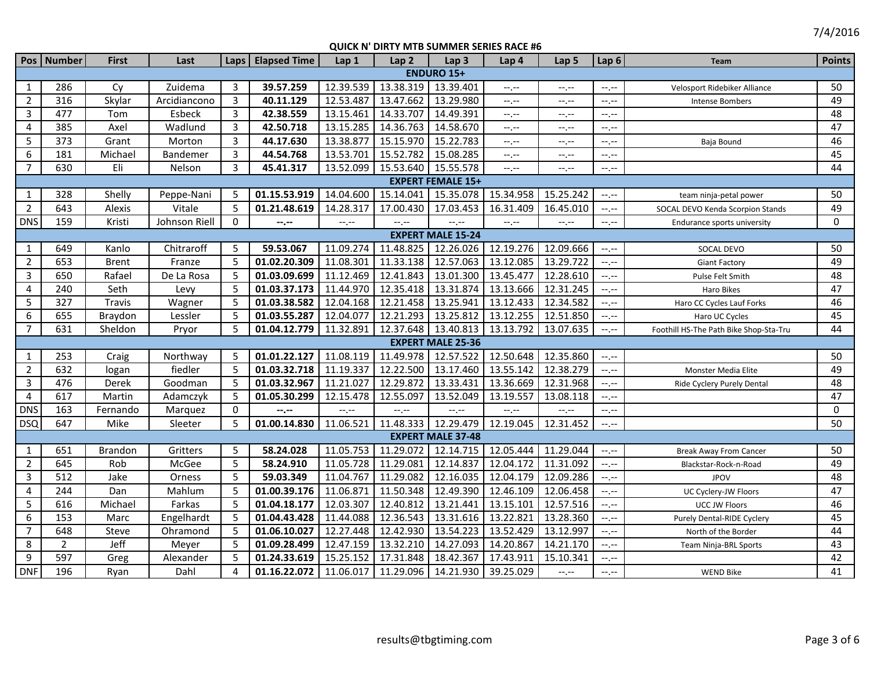|                | Pos   Number             | <b>First</b>   | Last          |                | Laps   Elapsed Time | Lap 1     | Lap <sub>2</sub>    | Lap <sub>3</sub>         | Lap 4       | Lap <sub>5</sub> | Lap <sub>6</sub>          | <b>Team</b>                            | <b>Points</b> |
|----------------|--------------------------|----------------|---------------|----------------|---------------------|-----------|---------------------|--------------------------|-------------|------------------|---------------------------|----------------------------------------|---------------|
|                |                          |                |               |                |                     |           |                     | <b>ENDURO 15+</b>        |             |                  |                           |                                        |               |
| $\mathbf{1}$   | 286                      | Cy             | Zuidema       | 3              | 39.57.259           | 12.39.539 | 13.38.319           | 13.39.401                | $-1, -1$    | $-1, -1$         | $-1 - 1 - 1 = 0$          | Velosport Ridebiker Alliance           | 50            |
| $\overline{2}$ | 316                      | Skylar         | Arcidiancono  | $\overline{3}$ | 40.11.129           | 12.53.487 | 13.47.662           | 13.29.980                | $-1, -1$    | $--, --$         | $-1 - 1 - 1 = 0$          | Intense Bombers                        | 49            |
| 3              | 477                      | Tom            | Esbeck        | $\overline{3}$ | 42.38.559           | 13.15.461 | 14.33.707           | 14.49.391                | --.--       | $-1, -1$         | $-1, -1$                  |                                        | 48            |
| $\overline{4}$ | 385                      | Axel           | Wadlund       | $\overline{3}$ | 42.50.718           | 13.15.285 | 14.36.763           | 14.58.670                | --.--       | $-1, -1$         | $--, --$                  |                                        | 47            |
| 5              | 373                      | Grant          | Morton        | 3              | 44.17.630           | 13.38.877 | 15.15.970           | 15.22.783                | $-1, -1$    | $-1 - 1 - 1 = 0$ | $-1, -1$                  | Baja Bound                             | 46            |
| 6              | 181                      | Michael        | Bandemer      | 3              | 44.54.768           | 13.53.701 | 15.52.782           | 15.08.285                | $--, --$    | $-1 - 1 - 1 = 0$ | $--, --$                  |                                        | 45            |
| $\overline{7}$ | 630                      | Eli            | Nelson        | 3              | 45.41.317           | 13.52.099 |                     | 15.53.640 15.55.578      | $--, --$    | $--, --$         | $-1$ , $-1$               |                                        | 44            |
|                | <b>EXPERT FEMALE 15+</b> |                |               |                |                     |           |                     |                          |             |                  |                           |                                        |               |
| 1              | 328                      | Shelly         | Peppe-Nani    | -5             | 01.15.53.919        | 14.04.600 | 15.14.041           | 15.35.078                | 15.34.958   | 15.25.242        | $-1, -1$                  | team ninja-petal power                 | 50            |
| $\overline{2}$ | 643                      | Alexis         | Vitale        | -5             | 01.21.48.619        | 14.28.317 | 17.00.430           | 17.03.453                | 16.31.409   | 16.45.010        | $--, --$                  | SOCAL DEVO Kenda Scorpion Stands       | 49            |
| <b>DNS</b>     | 159                      | Kristi         | Johnson Riell | $\mathbf 0$    | --.--               | $-1, -1$  | --.--               | $-1$ , $-1$              | $-1, -1$    | $-1, -1$         | $-1, -1$                  | Endurance sports university            | 0             |
|                |                          |                |               |                |                     |           |                     | <b>EXPERT MALE 15-24</b> |             |                  |                           |                                        |               |
| 1              | 649                      | Kanlo          | Chitraroff    | 5              | 59.53.067           | 11.09.274 | 11.48.825           | 12.26.026                | 12.19.276   | 12.09.666        | $--, --$                  | SOCAL DEVO                             | 50            |
| $\overline{2}$ | 653                      | <b>Brent</b>   | Franze        | -5             | 01.02.20.309        | 11.08.301 | 11.33.138 12.57.063 |                          | 13.12.085   | 13.29.722        | $-1 - 1 - 1 = 0$          | <b>Giant Factory</b>                   | 49            |
| 3              | 650                      | Rafael         | De La Rosa    | 5              | 01.03.09.699        | 11.12.469 | 12.41.843 13.01.300 |                          | 13.45.477   | 12.28.610        | $-1 - 1 - 1 = 0$          | Pulse Felt Smith                       | 48            |
| 4              | 240                      | Seth           | Levy          | 5              | 01.03.37.173        | 11.44.970 | 12.35.418 13.31.874 |                          | 13.13.666   | 12.31.245        | $--, --$                  | Haro Bikes                             | 47            |
| 5              | 327                      | Travis         | Wagner        | 5              | 01.03.38.582        | 12.04.168 | 12.21.458           | 13.25.941                | 13.12.433   | 12.34.582        | $--, --$                  | Haro CC Cycles Lauf Forks              | 46            |
| 6              | 655                      | Braydon        | Lessler       | 5              | 01.03.55.287        | 12.04.077 | 12.21.293           | 13.25.812                | 13.12.255   | 12.51.850        | $--, --$                  | Haro UC Cycles                         | 45            |
| $\overline{7}$ | 631                      | Sheldon        | Pryor         | 5              | 01.04.12.779        | 11.32.891 | 12.37.648           | 13.40.813                | 13.13.792   | 13.07.635        | $-1 - 1 - 1 = 0$          | Foothill HS-The Path Bike Shop-Sta-Tru | 44            |
|                |                          |                |               |                |                     |           |                     | <b>EXPERT MALE 25-36</b> |             |                  |                           |                                        |               |
| 1              | 253                      | Craig          | Northway      | -5             | 01.01.22.127        | 11.08.119 | 11.49.978           | 12.57.522                | 12.50.648   | 12.35.860        | $-1, -1$                  |                                        | 50            |
| $\overline{2}$ | 632                      | logan          | fiedler       | 5              | 01.03.32.718        | 11.19.337 | 12.22.500           | 13.17.460                | 13.55.142   | 12.38.279        | $--, --$                  | Monster Media Elite                    | 49            |
| $\mathbf{3}$   | 476                      | Derek          | Goodman       | 5              | 01.03.32.967        | 11.21.027 | 12.29.872           | 13.33.431                | 13.36.669   | 12.31.968        | $--, --$                  | Ride Cyclery Purely Dental             | 48            |
| $\overline{4}$ | 617                      | Martin         | Adamczyk      | 5              | 01.05.30.299        | 12.15.478 | 12.55.097           | 13.52.049                | 13.19.557   | 13.08.118        | $-1$ , $-1$               |                                        | 47            |
| <b>DNS</b>     | 163                      | Fernando       | Marquez       | $\mathbf{0}$   | --.--               | $-1, -1$  | $-1, -1$            | $-1$ , $-1$              | $-1$ , $-1$ | $-1 - 1 - 1 = 0$ | $-1 - 1 - 1 = 0$          |                                        | 0             |
| <b>DSQ</b>     | 647                      | Mike           | Sleeter       | 5              | 01.00.14.830        | 11.06.521 | 11.48.333 12.29.479 |                          | 12.19.045   | 12.31.452        | $-1, -1$                  |                                        | 50            |
|                |                          |                |               |                |                     |           |                     | <b>EXPERT MALE 37-48</b> |             |                  |                           |                                        |               |
| 1              | 651                      | <b>Brandon</b> | Gritters      | 5              | 58.24.028           | 11.05.753 | 11.29.072           | 12.14.715                | 12.05.444   | 11.29.044        | $-1 - 1 - 1 = 0$          | <b>Break Away From Cancer</b>          | 50            |
| $\overline{2}$ | 645                      | Rob            | McGee         | 5              | 58.24.910           | 11.05.728 | 11.29.081           | 12.14.837                | 12.04.172   | 11.31.092        | $\leftarrow$ $\leftarrow$ | Blackstar-Rock-n-Road                  | 49            |
| $\overline{3}$ | 512                      | Jake           | Orness        | 5              | 59.03.349           | 11.04.767 | 11.29.082           | 12.16.035                | 12.04.179   | 12.09.286        | $--, --$                  | <b>JPOV</b>                            | 48            |
| 4              | 244                      | Dan            | Mahlum        | 5              | 01.00.39.176        | 11.06.871 | 11.50.348           | 12.49.390                | 12.46.109   | 12.06.458        | $--, --$                  | UC Cyclery-JW Floors                   | 47            |
| 5              | 616                      | Michael        | Farkas        | 5              | 01.04.18.177        | 12.03.307 | 12.40.812           | 13.21.441                | 13.15.101   | 12.57.516        | $-1$ , $-1$               | <b>UCC JW Floors</b>                   | 46            |
| 6              | 153                      | Marc           | Engelhardt    | -5             | 01.04.43.428        | 11.44.088 | 12.36.543           | 13.31.616                | 13.22.821   | 13.28.360        | $--, --$                  | Purely Dental-RIDE Cyclery             | 45            |
| $\overline{7}$ | 648                      | Steve          | Ohramond      | 5              | 01.06.10.027        | 12.27.448 | 12.42.930           | 13.54.223                | 13.52.429   | 13.12.997        | $-1 - 1 - 1 = 0$          | North of the Border                    | 44            |
| 8              | 2                        | Jeff           | Meyer         | -5             | 01.09.28.499        | 12.47.159 | 13.32.210           | 14.27.093                | 14.20.867   | 14.21.170        | $-1 - 1 - 1 = 0$          | Team Ninja-BRL Sports                  | 43            |
| 9              | 597                      | Greg           | Alexander     | 5              | 01.24.33.619        | 15.25.152 | 17.31.848           | 18.42.367                | 17.43.911   | 15.10.341        | $-1$ , $-1$               |                                        | 42            |
| <b>DNF</b>     | 196                      | Ryan           | Dahl          | 4              | 01.16.22.072        | 11.06.017 | 11.29.096 14.21.930 |                          | 39.25.029   | $-1, -1$         | $-1, -1$                  | <b>WEND Bike</b>                       | 41            |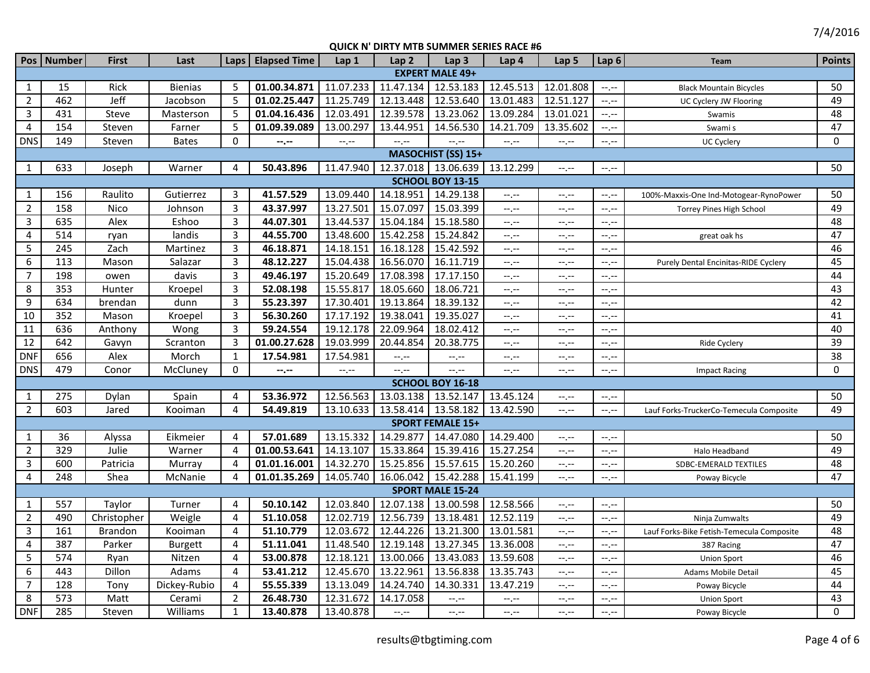7/4/2016

|                 | Pos   Number | <b>First</b> | Last           | Laps           | <b>Elapsed Time</b> | Lap <sub>1</sub> | Lap <sub>2</sub>    | Lap <sub>3</sub>        | Lap <sub>4</sub> | Lap <sub>5</sub>          | Lap <sub>6</sub> | Team                                      | <b>Points</b>   |
|-----------------|--------------|--------------|----------------|----------------|---------------------|------------------|---------------------|-------------------------|------------------|---------------------------|------------------|-------------------------------------------|-----------------|
|                 |              |              |                |                |                     |                  |                     | <b>EXPERT MALE 49+</b>  |                  |                           |                  |                                           |                 |
| 1               | 15           | Rick         | <b>Bienias</b> | 5              | 01.00.34.871        | 11.07.233        | 11.47.134           | 12.53.183               | 12.45.513        | 12.01.808                 | $-1$ , $-1$      | <b>Black Mountain Bicycles</b>            | 50              |
| $\overline{2}$  | 462          | Jeff         | Jacobson       | 5              | 01.02.25.447        | 11.25.749        | 12.13.448           | 12.53.640               | 13.01.483        | 12.51.127                 | $-1$ .           | UC Cyclery JW Flooring                    | 49              |
| 3               | 431          | Steve        | Masterson      | 5              | 01.04.16.436        | 12.03.491        | 12.39.578           | 13.23.062               | 13.09.284        | 13.01.021                 | $-1$ , $-1$      | Swamis                                    | 48              |
| $\overline{4}$  | 154          | Steven       | Farner         | 5              | 01.09.39.089        | 13.00.297        | 13.44.951           | 14.56.530               | 14.21.709        | 13.35.602                 | $-1, -1$         | Swami s                                   | 47              |
| <b>DNS</b>      | 149          | Steven       | Bates          | $\mathbf{0}$   | $- - - - -$         | $-1, -1$         | $-1$ , $-1$         | $-1$ , $-1$             | $-1$ , $-1$      | $-1, -1$                  | $--, --$         | UC Cyclery                                | $\Omega$        |
|                 |              |              |                |                |                     |                  |                     | MASOCHIST (SS) 15+      |                  |                           |                  |                                           |                 |
| 1               | 633          | Joseph       | Warner         | 4              | 50.43.896           | 11.47.940        |                     | 12.37.018   13.06.639   | 13.12.299        | $-1, -1$                  | $-1$ .           |                                           | 50              |
|                 |              |              |                |                |                     |                  |                     | SCHOOL BOY 13-15        |                  |                           |                  |                                           |                 |
| 1               | 156          | Raulito      | Gutierrez      | 3              | 41.57.529           | 13.09.440        | 14.18.951 14.29.138 |                         | $-1$ .           | $-1, -1$                  | $--, --$         | 100%-Maxxis-One Ind-Motogear-RynoPower    | 50              |
| $\overline{2}$  | 158          | Nico         | Johnson        | 3              | 43.37.997           | 13.27.501        | 15.07.097           | 15.03.399               | $-1$ , $-1$      | $-1, -1$                  | $-1 - 1 - 1 = 0$ | <b>Torrey Pines High School</b>           | 49              |
| 3               | 635          | Alex         | Eshoo          | 3              | 44.07.301           | 13.44.537        | 15.04.184           | 15.18.580               | $-1$ .           | $-1, -1$                  | $-1 - 1 - 1 = 0$ |                                           | 48              |
| $\overline{4}$  | 514          | ryan         | landis         | 3              | 44.55.700           | 13.48.600        | 15.42.258           | 15.24.842               | --,--            | $-1, -1$                  | $-1, -1$         | great oak hs                              | 47              |
| 5               | 245          | Zach         | Martinez       | 3              | 46.18.871           | 14.18.151        | 16.18.128           | 15.42.592               | $-1$ , $-1$      | $-1$ , $-1$               | $-1 - 1 - 1 = 0$ |                                           | 46              |
| 6               | 113          | Mason        | Salazar        | 3              | 48.12.227           | 15.04.438        | 16.56.070           | 16.11.719               | $-1, -1$         | $-1, -1$                  | --.--            | Purely Dental Encinitas-RIDE Cyclery      | 45              |
| $\overline{7}$  | 198          | owen         | davis          | 3              | 49.46.197           | 15.20.649        | 17.08.398           | 17.17.150               | $-1$ , $-1$      | $-1$ , $-1$               | $-1 - 1 - 1 = 0$ |                                           | 44              |
| 8               | 353          | Hunter       | Kroepel        | 3              | 52.08.198           | 15.55.817        | 18.05.660           | 18.06.721               | $-1, -1$         | $-1, -1$                  | $-1, -1$         |                                           | 43              |
| 9               | 634          | brendan      | dunn           | 3              | 55.23.397           | 17.30.401        | 19.13.864           | 18.39.132               | $-1$ .           | $-1, -1$                  | $-1$ , $-1$      |                                           | 42              |
| 10              | 352          | Mason        | Kroepel        | 3              | 56.30.260           | 17.17.192        | 19.38.041           | 19.35.027               | $-1$ , $-1$      | $-1, -1$                  | $-1$ , $-1$      |                                           | 41              |
| 11              | 636          | Anthony      | Wong           | 3              | 59.24.554           | 19.12.178        | 22.09.964           | 18.02.412               | $-1$ , $-1$      | $-1, -1$                  | $-1$ , $-1$      |                                           | 40              |
| $\overline{12}$ | 642          | Gavyn        | Scranton       | 3              | 01.00.27.628        | 19.03.999        | 20.44.854           | 20.38.775               | $-1, -1$         | $-1, -1$                  | $-1 - 1 - 1 = 0$ | Ride Cyclery                              | $\overline{39}$ |
| <b>DNF</b>      | 656          | Alex         | Morch          | 1              | 17.54.981           | 17.54.981        | $-1$ , $-1$         | $-1, -1$                | $-1$ .           | $-1, -1$                  | $-1$ , $-1$      |                                           | 38              |
| <b>DNS</b>      | 479          | Conor        | McCluney       | $\Omega$       | $-2 - 1$            | $-1, -1$         | $-1 - 1 - 1 = 0$    | $-1$ , $-1$             | $-1$ . $-1$      | $-1, -1$                  | $-1 - 1 - 1 = 0$ | <b>Impact Racing</b>                      | $\mathbf 0$     |
|                 |              |              |                |                |                     |                  |                     | SCHOOL BOY 16-18        |                  |                           |                  |                                           |                 |
| 1               | 275          | Dylan        | Spain          | 4              | 53.36.972           | 12.56.563        | 13.03.138 13.52.147 |                         | 13.45.124        | $--, --$                  | $-1 - 1 - 1 = 0$ |                                           | 50              |
| $\overline{2}$  | 603          | Jared        | Kooiman        | 4              | 54.49.819           | 13.10.633        | 13.58.414 13.58.182 |                         | 13.42.590        | $-1, -1$                  | $-1, -1$         | Lauf Forks-TruckerCo-Temecula Composite   | 49              |
|                 |              |              |                |                |                     |                  |                     | <b>SPORT FEMALE 15+</b> |                  |                           |                  |                                           |                 |
| 1               | 36           | Alyssa       | Eikmeier       | $\overline{4}$ | 57.01.689           | 13.15.332        | 14.29.877           | 14.47.080               | 14.29.400        | $--, --$                  | $-1, -1$         |                                           | 50              |
| $\overline{2}$  | 329          | Julie        | Warner         | 4              | 01.00.53.641        | 14.13.107        | 15.33.864           | 15.39.416               | 15.27.254        | $-1$ , $-1$               | $--, --$         | Halo Headband                             | 49              |
| 3               | 600          | Patricia     | Murray         | 4              | 01.01.16.001        | 14.32.270        | 15.25.856           | 15.57.615               | 15.20.260        | $-1, -1$                  | $-1, -1$         | SDBC-EMERALD TEXTILES                     | 48              |
| $\overline{4}$  | 248          | Shea         | McNanie        | 4              | 01.01.35.269        | 14.05.740        | 16.06.042 15.42.288 |                         | 15.41.199        | $-1 - 1 - 1 = 0$          | $-1 - 1 - 1 = 0$ | Poway Bicycle                             | 47              |
|                 |              |              |                |                |                     |                  |                     | <b>SPORT MALE 15-24</b> |                  |                           |                  |                                           |                 |
| 1               | 557          | Taylor       | Turner         | 4              | 50.10.142           | 12.03.840        | 12.07.138 13.00.598 |                         | 12.58.566        | $-\mathbb{I}, \mathbb{I}$ | $-1 - 1 - 1 = 0$ |                                           | 50              |
| $\overline{2}$  | 490          | Christopher  | Weigle         | 4              | 51.10.058           | 12.02.719        | 12.56.739           | 13.18.481               | 12.52.119        | $-1, -1$                  | $-1, -1$         | Ninja Zumwalts                            | 49              |
| $\overline{3}$  | 161          | Brandon      | Kooiman        | 4              | 51.10.779           | 12.03.672        | 12.44.226           | 13.21.300               | 13.01.581        | $-1, -1$                  | $--, --$         | Lauf Forks-Bike Fetish-Temecula Composite | 48              |
| 4               | 387          | Parker       | <b>Burgett</b> | 4              | 51.11.041           | 11.48.540        | 12.19.148           | 13.27.345               | 13.36.008        | $-1 - 1 - 1 = 0$          | $-1$ , $-1$      | 387 Racing                                | 47              |
| 5               | 574          | Ryan         | Nitzen         | 4              | 53.00.878           | 12.18.121        | 13.00.066           | 13.43.083               | 13.59.608        | $-1$ , $-1$               | $--, --$         | <b>Union Sport</b>                        | 46              |
| 6               | 443          | Dillon       | Adams          | $\overline{4}$ | 53.41.212           | 12.45.670        | 13.22.961           | 13.56.838               | 13.35.743        | $-1, -1$                  | $-1 - 1 - 1 = 0$ | Adams Mobile Detail                       | 45              |
| $\overline{7}$  | 128          | Tony         | Dickey-Rubio   | 4              | 55.55.339           | 13.13.049        | 14.24.740           | 14.30.331               | 13.47.219        | $-1, -1$                  | $-1, -1$         | Poway Bicycle                             | 44              |
| 8               | 573          | Matt         | Cerami         | $\overline{2}$ | 26.48.730           | 12.31.672        | 14.17.058           | $-1 - 1 - 1 = 0$        | $-1 - 1 - 1 = 0$ | $-1, -1$                  | $-1 - 1 - 1 = 0$ | <b>Union Sport</b>                        | 43              |
| <b>DNF</b>      | 285          | Steven       | Williams       | $\mathbf{1}$   | 13.40.878           | 13.40.878        | $-1$                | $-1$ , $-1$             | $-1$ , $-1$      | $-1, -1$                  | $--, --$         | Poway Bicycle                             | $\Omega$        |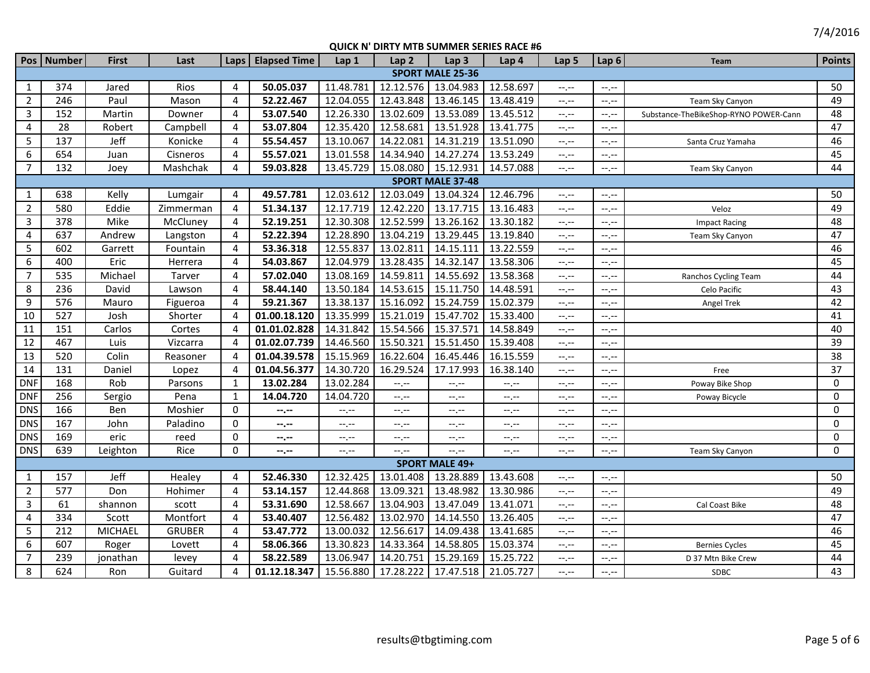|                | Pos   Number | <b>First</b>   | Last          | Laps           | <b>Elapsed Time</b> | Lap 1            | Lap <sub>2</sub>    | Lap <sub>3</sub>        | Lap 4     | Lap <sub>5</sub> | Lap <sub>6</sub> | Team                                  | <b>Points</b> |
|----------------|--------------|----------------|---------------|----------------|---------------------|------------------|---------------------|-------------------------|-----------|------------------|------------------|---------------------------------------|---------------|
|                |              |                |               |                |                     |                  |                     | <b>SPORT MALE 25-36</b> |           |                  |                  |                                       |               |
| $\mathbf{1}$   | 374          | Jared          | Rios          | $\overline{4}$ | 50.05.037           | 11.48.781        | 12.12.576           | 13.04.983               | 12.58.697 | $-1, -1$         | --.--            |                                       | 50            |
| $\overline{2}$ | 246          | Paul           | Mason         | $\overline{4}$ | 52.22.467           | 12.04.055        | 12.43.848           | 13.46.145               | 13.48.419 | $-1$ , $-1$      | --,--            | Team Sky Canyon                       | 49            |
| $\mathbf{3}$   | 152          | Martin         | Downer        | 4              | 53.07.540           | 12.26.330        | 13.02.609           | 13.53.089               | 13.45.512 | $-1, -1$         | $--, --$         | Substance-TheBikeShop-RYNO POWER-Cann | 48            |
| 4              | 28           | Robert         | Campbell      | 4              | 53.07.804           | 12.35.420        | 12.58.681           | 13.51.928               | 13.41.775 | $-1$ , $-1$      | --,--            |                                       | 47            |
| 5              | 137          | Jeff           | Konicke       | 4              | 55.54.457           | 13.10.067        | 14.22.081           | 14.31.219               | 13.51.090 | $-1, -1$         | $-1$ .           | Santa Cruz Yamaha                     | 46            |
| 6              | 654          | Juan           | Cisneros      | 4              | 55.57.021           | 13.01.558        | 14.34.940           | 14.27.274               | 13.53.249 | $-1, -1$         | $--, --$         |                                       | 45            |
| $\overline{7}$ | 132          | Joey           | Mashchak      | 4              | 59.03.828           | 13.45.729        | 15.08.080 15.12.931 |                         | 14.57.088 | $-1, -1$         | $-1$ .           | Team Sky Canyon                       | 44            |
|                |              |                |               |                |                     |                  |                     | <b>SPORT MALE 37-48</b> |           |                  |                  |                                       |               |
| 1              | 638          | Kelly          | Lumgair       | 4              | 49.57.781           | 12.03.612        | 12.03.049           | 13.04.324               | 12.46.796 | $-1, -1$         | $-1$ .           |                                       | 50            |
| $\overline{2}$ | 580          | Eddie          | Zimmerman     | 4              | 51.34.137           | 12.17.719        | 12.42.220           | 13.17.715               | 13.16.483 | $-1, -1$         | $-1$ .           | Veloz                                 | 49            |
| $\mathbf{3}$   | 378          | Mike           | McCluney      | 4              | 52.19.251           | 12.30.308        | 12.52.599           | 13.26.162               | 13.30.182 | $-1, -1$         | --.--            | <b>Impact Racing</b>                  | 48            |
| $\overline{4}$ | 637          | Andrew         | Langston      | 4              | 52.22.394           | 12.28.890        | 13.04.219           | 13.29.445               | 13.19.840 | $-1, -1$         | $-1$ .           | Team Sky Canyon                       | 47            |
| 5              | 602          | Garrett        | Fountain      | 4              | 53.36.318           | 12.55.837        | 13.02.811           | 14.15.111               | 13.22.559 | $-1, -1$         | --.--            |                                       | 46            |
| 6              | 400          | Eric           | Herrera       | 4              | 54.03.867           | 12.04.979        | 13.28.435           | 14.32.147               | 13.58.306 | $-1, -1$         | --.--            |                                       | 45            |
| $\overline{7}$ | 535          | Michael        | Tarver        | 4              | 57.02.040           | 13.08.169        | 14.59.811           | 14.55.692               | 13.58.368 | $-1, -1$         | --,--            | Ranchos Cycling Team                  | 44            |
| 8              | 236          | David          | Lawson        | 4              | 58.44.140           | 13.50.184        | 14.53.615           | 15.11.750               | 14.48.591 | $-1$ , $-1$      | $-1$ .           | Celo Pacific                          | 43            |
| 9              | 576          | Mauro          | Figueroa      | 4              | 59.21.367           | 13.38.137        | 15.16.092           | 15.24.759               | 15.02.379 | $-1$ , $-1$      | $--, --$         | Angel Trek                            | 42            |
| 10             | 527          | Josh           | Shorter       | 4              | 01.00.18.120        | 13.35.999        | 15.21.019           | 15.47.702               | 15.33.400 | $-1, -1$         | $-1$ .           |                                       | 41            |
| 11             | 151          | Carlos         | Cortes        | $\overline{4}$ | 01.01.02.828        | 14.31.842        | 15.54.566           | 15.37.571               | 14.58.849 | $-1, -1$         | $--, --$         |                                       | 40            |
| 12             | 467          | Luis           | Vizcarra      | $\overline{4}$ | 01.02.07.739        | 14.46.560        | 15.50.321           | 15.51.450               | 15.39.408 | $-1, -1$         | $-1, -1$         |                                       | 39            |
| 13             | 520          | Colin          | Reasoner      | 4              | 01.04.39.578        | 15.15.969        | 16.22.604           | 16.45.446               | 16.15.559 | $-1$ , $-1$      | --,--            |                                       | 38            |
| 14             | 131          | Daniel         | Lopez         | $\overline{4}$ | 01.04.56.377        | 14.30.720        | 16.29.524           | 17.17.993               | 16.38.140 | $-1, -1$         | --.--            | Free                                  | 37            |
| <b>DNF</b>     | 168          | Rob            | Parsons       | $\mathbf{1}$   | 13.02.284           | 13.02.284        | $-1, -1$            | $-1$ . $-1$             | $-1$      | $-1$ , $-1$      | --.--            | Poway Bike Shop                       | 0             |
| <b>DNF</b>     | 256          | Sergio         | Pena          | $\mathbf{1}$   | 14.04.720           | 14.04.720        | $-1, -1$            | $-1, -1$                | $-1, -1$  | $-1, -1$         | --.--            | Poway Bicycle                         | 0             |
| <b>DNS</b>     | 166          | Ben            | Moshier       | 0              | --.--               | --.--            | $-1, -1$            | --.--                   | --.--     | $-1 - 1 - 1 = 0$ | --.--            |                                       | $\mathbf 0$   |
| <b>DNS</b>     | 167          | John           | Paladino      | 0              | --.--               | $-1$ , $-1$      | $-1$ , $-1$         | $-1$ , $-1$             | $-1, -1$  | $-1$ , $-1$      | $-1$ .           |                                       | $\mathbf 0$   |
| <b>DNS</b>     | 169          | eric           | reed          | $\mathbf 0$    | --.--               | --.--            | $-1, -1$            | $--, --$                | $-1, -1$  | $-1 - 1 - 1 = 0$ | --.--            |                                       | 0             |
| <b>DNS</b>     | 639          | Leighton       | Rice          | $\mathbf 0$    | $-2 - 1$            | $-1 - 1 - 1 = 0$ | $-1$ , $-1$         | $-1 - 1 - 1 = 0$        | $-1, -1$  | $-1, -1$         | --.--            | Team Sky Canyon                       | $\Omega$      |
|                |              |                |               |                |                     |                  |                     | <b>SPORT MALE 49+</b>   |           |                  |                  |                                       |               |
| 1              | 157          | Jeff           | Healey        | 4              | 52.46.330           | 12.32.425        | 13.01.408           | 13.28.889               | 13.43.608 | $-1, -1$         | $--, --$         |                                       | 50            |
| $\overline{2}$ | 577          | Don            | Hohimer       | 4              | 53.14.157           | 12.44.868        | 13.09.321           | 13.48.982               | 13.30.986 | $-1, -1$         | $-1, -1$         |                                       | 49            |
| $\mathbf{3}$   | 61           | shannon        | scott         | 4              | 53.31.690           | 12.58.667        | 13.04.903           | 13.47.049               | 13.41.071 | $-1$ , $-1$      | --,--            | Cal Coast Bike                        | 48            |
| $\overline{4}$ | 334          | Scott          | Montfort      | 4              | 53.40.407           | 12.56.482        | 13.02.970           | 14.14.550               | 13.26.405 | $-1, -1$         | $-1$ .           |                                       | 47            |
| 5              | 212          | <b>MICHAEL</b> | <b>GRUBER</b> | 4              | 53.47.772           | 13.00.032        | 12.56.617           | 14.09.438               | 13.41.685 | $-1, -1$         | $-1$ .           |                                       | 46            |
| 6              | 607          | Roger          | Lovett        | 4              | 58.06.366           | 13.30.823        | 14.33.364           | 14.58.805               | 15.03.374 | $-1, -1$         | $-1$ , $-1$      | <b>Bernies Cycles</b>                 | 45            |
| $\overline{7}$ | 239          | jonathan       | levey         | 4              | 58.22.589           | 13.06.947        | 14.20.751           | 15.29.169               | 15.25.722 | --.--            | --.--            | D 37 Mtn Bike Crew                    | 44            |
| 8              | 624          | Ron            | Guitard       | 4              | 01.12.18.347        | 15.56.880        | 17.28.222           | 17.47.518               | 21.05.727 | $-1$ , $-1$      | $-1$ . $-1$      | SDBC                                  | 43            |